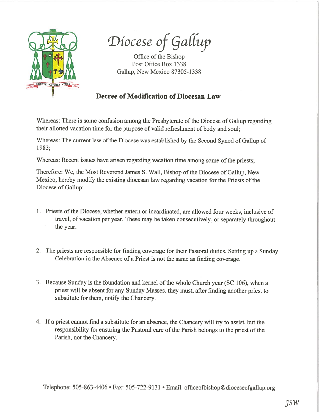

Diocese of Gallup

Office of the Bishop Post Office Box 1338 Gallup, New Mexico 87305-1338

## Decree of Modification of Diocesan Law

Whereas: There is some confusion among the Presbyterate of the Diocese of Gallup regarding their allotted vacation time for the purpose of valid refreshment of body and soul;

Whereas: The current law of the Diocese was established by the Second Synod of Gallup of 1983;

Whereas: Recent issues have arisen regarding vacation time among some of the priests;

Therefore: We, the Most Reverend James S. Wall, Bishop of the Diocese of Gallup, New Mexico, hereby modify the existing diocesan law regarding vacation for the Priests of the Diocese of Gallup:

- 1. Priests of the Diocese, whether extern or incardinated, are allowed four weeks, inclusive of travel, of vacation per year. These may be taken consecutively, or separately throughout the year.
- 2. The priests are responsible for finding coverage for their Pastoral duties. Setting up <sup>a</sup> Sunday Celebration in the Absence of <sup>a</sup> Priest is not the same as finding coverage.
- 3. Because Sunday is the foundation and kernel of the whole Church year (SC 106), when a priest will be absent for any Sunday Masses, they must, after finding another priest to substitute for them, notify the Chancery.
- 4. If <sup>a</sup> priest cannot fmd <sup>a</sup> substitute for an absence, the Chancery will try to assist, but the responsibility for ensuring the Pastoral care of the Parish belongs to the priest of the Parish, not the Chancery.